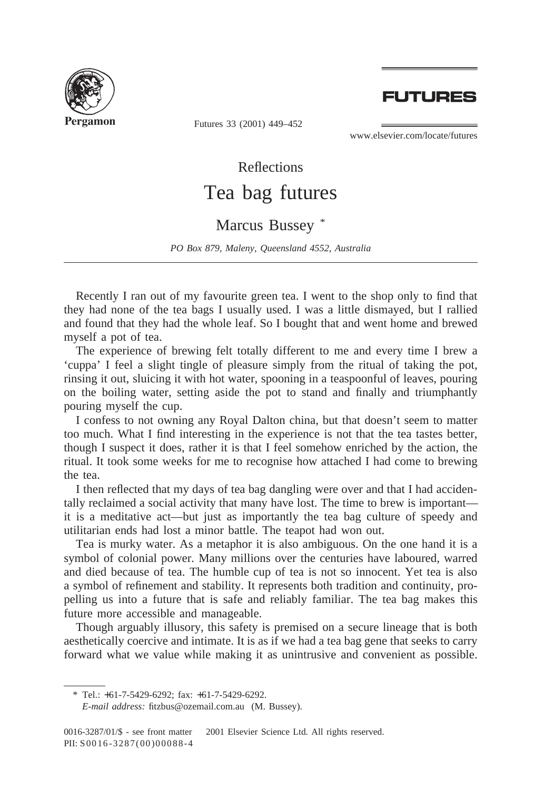



Futures 33 (2001) 449–452

www.elsevier.com/locate/futures

Reflections

## Tea bag futures

## Marcus Bussey \*

*PO Box 879, Maleny, Queensland 4552, Australia*

Recently I ran out of my favourite green tea. I went to the shop only to find that they had none of the tea bags I usually used. I was a little dismayed, but I rallied and found that they had the whole leaf. So I bought that and went home and brewed myself a pot of tea.

The experience of brewing felt totally different to me and every time I brew a 'cuppa' I feel a slight tingle of pleasure simply from the ritual of taking the pot, rinsing it out, sluicing it with hot water, spooning in a teaspoonful of leaves, pouring on the boiling water, setting aside the pot to stand and finally and triumphantly pouring myself the cup.

I confess to not owning any Royal Dalton china, but that doesn't seem to matter too much. What I find interesting in the experience is not that the tea tastes better, though I suspect it does, rather it is that I feel somehow enriched by the action, the ritual. It took some weeks for me to recognise how attached I had come to brewing the tea.

I then reflected that my days of tea bag dangling were over and that I had accidentally reclaimed a social activity that many have lost. The time to brew is important it is a meditative act—but just as importantly the tea bag culture of speedy and utilitarian ends had lost a minor battle. The teapot had won out.

Tea is murky water. As a metaphor it is also ambiguous. On the one hand it is a symbol of colonial power. Many millions over the centuries have laboured, warred and died because of tea. The humble cup of tea is not so innocent. Yet tea is also a symbol of refinement and stability. It represents both tradition and continuity, propelling us into a future that is safe and reliably familiar. The tea bag makes this future more accessible and manageable.

Though arguably illusory, this safety is premised on a secure lineage that is both aesthetically coercive and intimate. It is as if we had a tea bag gene that seeks to carry forward what we value while making it as unintrusive and convenient as possible.

<sup>\*</sup> Tel.: +61-7-5429-6292; fax: +61-7-5429-6292.

*E-mail address:* fitzbus@ozemail.com.au (M. Bussey).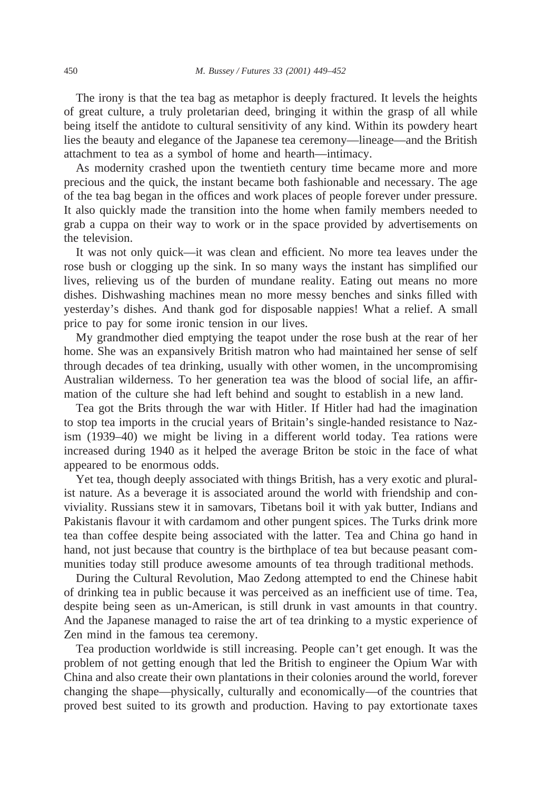The irony is that the tea bag as metaphor is deeply fractured. It levels the heights of great culture, a truly proletarian deed, bringing it within the grasp of all while being itself the antidote to cultural sensitivity of any kind. Within its powdery heart lies the beauty and elegance of the Japanese tea ceremony—lineage—and the British attachment to tea as a symbol of home and hearth—intimacy.

As modernity crashed upon the twentieth century time became more and more precious and the quick, the instant became both fashionable and necessary. The age of the tea bag began in the offices and work places of people forever under pressure. It also quickly made the transition into the home when family members needed to grab a cuppa on their way to work or in the space provided by advertisements on the television.

It was not only quick—it was clean and efficient. No more tea leaves under the rose bush or clogging up the sink. In so many ways the instant has simplified our lives, relieving us of the burden of mundane reality. Eating out means no more dishes. Dishwashing machines mean no more messy benches and sinks filled with yesterday's dishes. And thank god for disposable nappies! What a relief. A small price to pay for some ironic tension in our lives.

My grandmother died emptying the teapot under the rose bush at the rear of her home. She was an expansively British matron who had maintained her sense of self through decades of tea drinking, usually with other women, in the uncompromising Australian wilderness. To her generation tea was the blood of social life, an affirmation of the culture she had left behind and sought to establish in a new land.

Tea got the Brits through the war with Hitler. If Hitler had had the imagination to stop tea imports in the crucial years of Britain's single-handed resistance to Nazism (1939–40) we might be living in a different world today. Tea rations were increased during 1940 as it helped the average Briton be stoic in the face of what appeared to be enormous odds.

Yet tea, though deeply associated with things British, has a very exotic and pluralist nature. As a beverage it is associated around the world with friendship and conviviality. Russians stew it in samovars, Tibetans boil it with yak butter, Indians and Pakistanis flavour it with cardamom and other pungent spices. The Turks drink more tea than coffee despite being associated with the latter. Tea and China go hand in hand, not just because that country is the birthplace of tea but because peasant communities today still produce awesome amounts of tea through traditional methods.

During the Cultural Revolution, Mao Zedong attempted to end the Chinese habit of drinking tea in public because it was perceived as an inefficient use of time. Tea, despite being seen as un-American, is still drunk in vast amounts in that country. And the Japanese managed to raise the art of tea drinking to a mystic experience of Zen mind in the famous tea ceremony.

Tea production worldwide is still increasing. People can't get enough. It was the problem of not getting enough that led the British to engineer the Opium War with China and also create their own plantations in their colonies around the world, forever changing the shape—physically, culturally and economically—of the countries that proved best suited to its growth and production. Having to pay extortionate taxes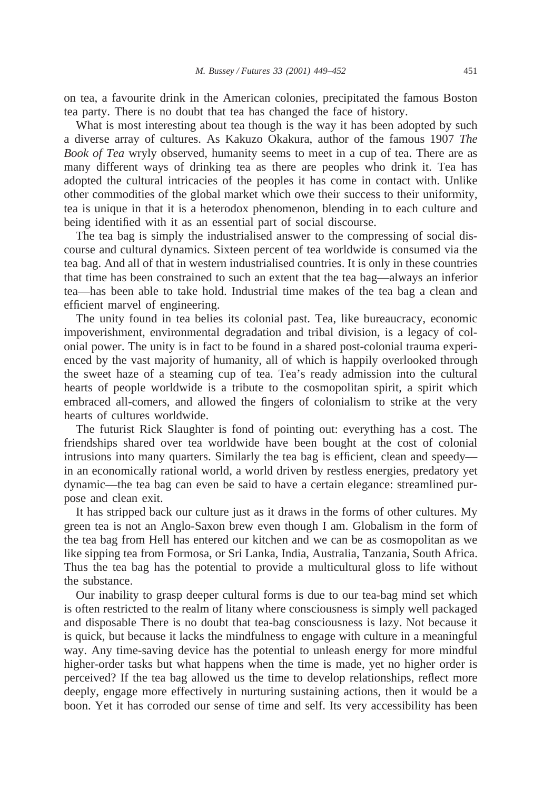on tea, a favourite drink in the American colonies, precipitated the famous Boston tea party. There is no doubt that tea has changed the face of history.

What is most interesting about tea though is the way it has been adopted by such a diverse array of cultures. As Kakuzo Okakura, author of the famous 1907 *The Book of Tea* wryly observed, humanity seems to meet in a cup of tea. There are as many different ways of drinking tea as there are peoples who drink it. Tea has adopted the cultural intricacies of the peoples it has come in contact with. Unlike other commodities of the global market which owe their success to their uniformity, tea is unique in that it is a heterodox phenomenon, blending in to each culture and being identified with it as an essential part of social discourse.

The tea bag is simply the industrialised answer to the compressing of social discourse and cultural dynamics. Sixteen percent of tea worldwide is consumed via the tea bag. And all of that in western industrialised countries. It is only in these countries that time has been constrained to such an extent that the tea bag—always an inferior tea—has been able to take hold. Industrial time makes of the tea bag a clean and efficient marvel of engineering.

The unity found in tea belies its colonial past. Tea, like bureaucracy, economic impoverishment, environmental degradation and tribal division, is a legacy of colonial power. The unity is in fact to be found in a shared post-colonial trauma experienced by the vast majority of humanity, all of which is happily overlooked through the sweet haze of a steaming cup of tea. Tea's ready admission into the cultural hearts of people worldwide is a tribute to the cosmopolitan spirit, a spirit which embraced all-comers, and allowed the fingers of colonialism to strike at the very hearts of cultures worldwide.

The futurist Rick Slaughter is fond of pointing out: everything has a cost. The friendships shared over tea worldwide have been bought at the cost of colonial intrusions into many quarters. Similarly the tea bag is efficient, clean and speedy in an economically rational world, a world driven by restless energies, predatory yet dynamic—the tea bag can even be said to have a certain elegance: streamlined purpose and clean exit.

It has stripped back our culture just as it draws in the forms of other cultures. My green tea is not an Anglo-Saxon brew even though I am. Globalism in the form of the tea bag from Hell has entered our kitchen and we can be as cosmopolitan as we like sipping tea from Formosa, or Sri Lanka, India, Australia, Tanzania, South Africa. Thus the tea bag has the potential to provide a multicultural gloss to life without the substance.

Our inability to grasp deeper cultural forms is due to our tea-bag mind set which is often restricted to the realm of litany where consciousness is simply well packaged and disposable There is no doubt that tea-bag consciousness is lazy. Not because it is quick, but because it lacks the mindfulness to engage with culture in a meaningful way. Any time-saving device has the potential to unleash energy for more mindful higher-order tasks but what happens when the time is made, yet no higher order is perceived? If the tea bag allowed us the time to develop relationships, reflect more deeply, engage more effectively in nurturing sustaining actions, then it would be a boon. Yet it has corroded our sense of time and self. Its very accessibility has been